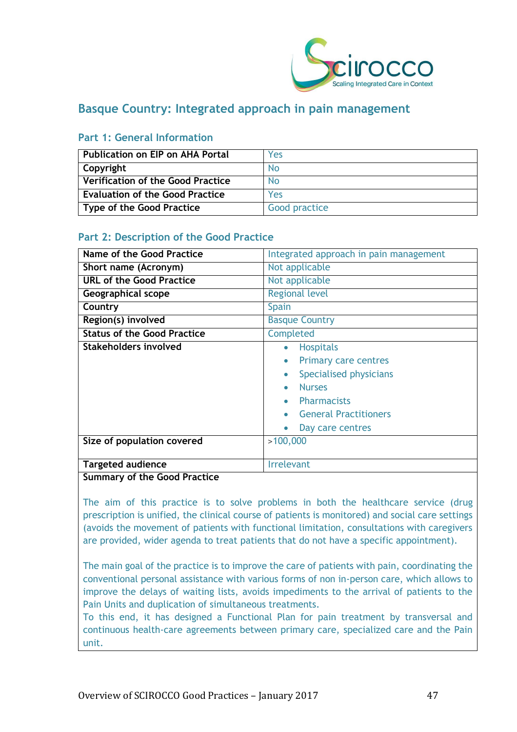

# **Basque Country: Integrated approach in pain management**

| <b>Publication on EIP on AHA Portal</b>  | Yes           |
|------------------------------------------|---------------|
| Copyright                                | No            |
| <b>Verification of the Good Practice</b> | No            |
| <b>Evaluation of the Good Practice</b>   | Yes           |
| <b>Type of the Good Practice</b>         | Good practice |

#### **Part 1: General Information**

#### **Part 2: Description of the Good Practice**

| <b>Name of the Good Practice</b>   | Integrated approach in pain management   |
|------------------------------------|------------------------------------------|
|                                    |                                          |
| Short name (Acronym)               | Not applicable                           |
| <b>URL of the Good Practice</b>    | Not applicable                           |
| Geographical scope                 | <b>Regional level</b>                    |
| Country                            | Spain                                    |
| Region(s) involved                 | <b>Basque Country</b>                    |
| <b>Status of the Good Practice</b> | Completed                                |
| Stakeholders involved              | <b>Hospitals</b><br>$\bullet$            |
|                                    | <b>Primary care centres</b><br>$\bullet$ |
|                                    | Specialised physicians<br>$\bullet$      |
|                                    | <b>Nurses</b>                            |
|                                    | <b>Pharmacists</b>                       |
|                                    | <b>General Practitioners</b>             |
|                                    | Day care centres                         |
| Size of population covered         | >100,000                                 |
|                                    |                                          |
| <b>Targeted audience</b>           | <b>Irrelevant</b>                        |

#### **Summary of the Good Practice**

The aim of this practice is to solve problems in both the healthcare service (drug prescription is unified, the clinical course of patients is monitored) and social care settings (avoids the movement of patients with functional limitation, consultations with caregivers are provided, wider agenda to treat patients that do not have a specific appointment).

The main goal of the practice is to improve the care of patients with pain, coordinating the conventional personal assistance with various forms of non in-person care, which allows to improve the delays of waiting lists, avoids impediments to the arrival of patients to the Pain Units and duplication of simultaneous treatments.

To this end, it has designed a Functional Plan for pain treatment by transversal and continuous health-care agreements between primary care, specialized care and the Pain unit.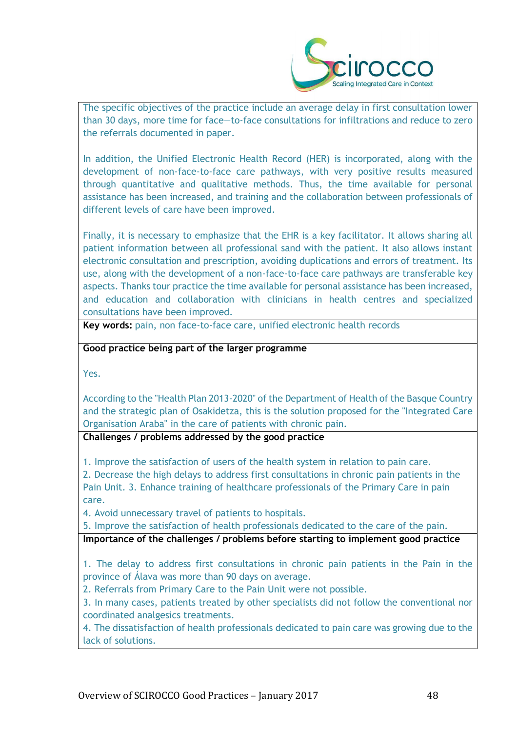

The specific objectives of the practice include an average delay in first consultation lower than 30 days, more time for face—to-face consultations for infiltrations and reduce to zero the referrals documented in paper.

In addition, the Unified Electronic Health Record (HER) is incorporated, along with the development of non-face-to-face care pathways, with very positive results measured through quantitative and qualitative methods. Thus, the time available for personal assistance has been increased, and training and the collaboration between professionals of different levels of care have been improved.

Finally, it is necessary to emphasize that the EHR is a key facilitator. It allows sharing all patient information between all professional sand with the patient. It also allows instant electronic consultation and prescription, avoiding duplications and errors of treatment. Its use, along with the development of a non-face-to-face care pathways are transferable key aspects. Thanks tour practice the time available for personal assistance has been increased, and education and collaboration with clinicians in health centres and specialized consultations have been improved.

**Key words:** pain, non face-to-face care, unified electronic health records

**Good practice being part of the larger programme**

Yes.

According to the "Health Plan 2013-2020" of the Department of Health of the Basque Country and the strategic plan of Osakidetza, this is the solution proposed for the "Integrated Care Organisation Araba" in the care of patients with chronic pain.

**Challenges / problems addressed by the good practice**

1. Improve the satisfaction of users of the health system in relation to pain care.

2. Decrease the high delays to address first consultations in chronic pain patients in the Pain Unit. 3. Enhance training of healthcare professionals of the Primary Care in pain care.

4. Avoid unnecessary travel of patients to hospitals.

5. Improve the satisfaction of health professionals dedicated to the care of the pain.

**Importance of the challenges / problems before starting to implement good practice**

1. The delay to address first consultations in chronic pain patients in the Pain in the province of Álava was more than 90 days on average.

2. Referrals from Primary Care to the Pain Unit were not possible.

3. In many cases, patients treated by other specialists did not follow the conventional nor coordinated analgesics treatments.

4. The dissatisfaction of health professionals dedicated to pain care was growing due to the lack of solutions.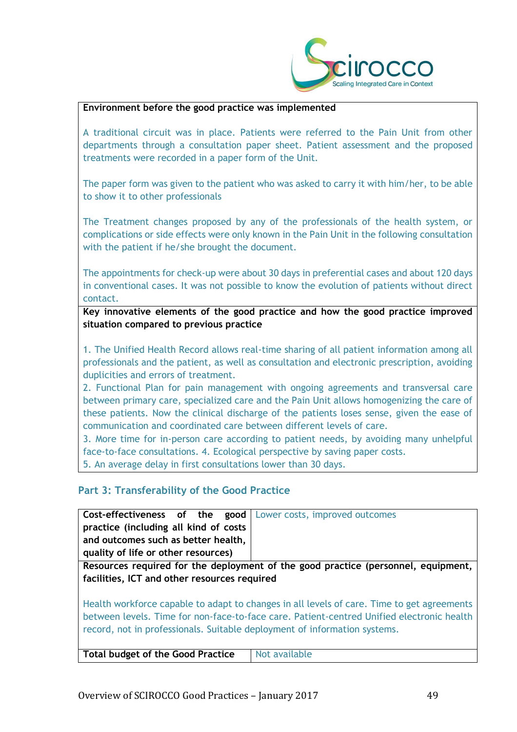

#### **Environment before the good practice was implemented**

A traditional circuit was in place. Patients were referred to the Pain Unit from other departments through a consultation paper sheet. Patient assessment and the proposed treatments were recorded in a paper form of the Unit.

The paper form was given to the patient who was asked to carry it with him/her, to be able to show it to other professionals

The Treatment changes proposed by any of the professionals of the health system, or complications or side effects were only known in the Pain Unit in the following consultation with the patient if he/she brought the document.

The appointments for check-up were about 30 days in preferential cases and about 120 days in conventional cases. It was not possible to know the evolution of patients without direct contact.

**Key innovative elements of the good practice and how the good practice improved situation compared to previous practice**

1. The Unified Health Record allows real-time sharing of all patient information among all professionals and the patient, as well as consultation and electronic prescription, avoiding duplicities and errors of treatment.

2. Functional Plan for pain management with ongoing agreements and transversal care between primary care, specialized care and the Pain Unit allows homogenizing the care of these patients. Now the clinical discharge of the patients loses sense, given the ease of communication and coordinated care between different levels of care.

3. More time for in-person care according to patient needs, by avoiding many unhelpful face-to-face consultations. 4. Ecological perspective by saving paper costs.

5. An average delay in first consultations lower than 30 days.

#### **Part 3: Transferability of the Good Practice**

| <b>Cost-effectiveness of the good</b>   Lower costs, improved outcomes |  |
|------------------------------------------------------------------------|--|
| practice (including all kind of costs                                  |  |
| and outcomes such as better health,                                    |  |
| quality of life or other resources)                                    |  |

**Resources required for the deployment of the good practice (personnel, equipment, facilities, ICT and other resources required**

Health workforce capable to adapt to changes in all levels of care. Time to get agreements between levels. Time for non-face-to-face care. Patient-centred Unified electronic health record, not in professionals. Suitable deployment of information systems.

| Total budget of the Good Practice | Not available |
|-----------------------------------|---------------|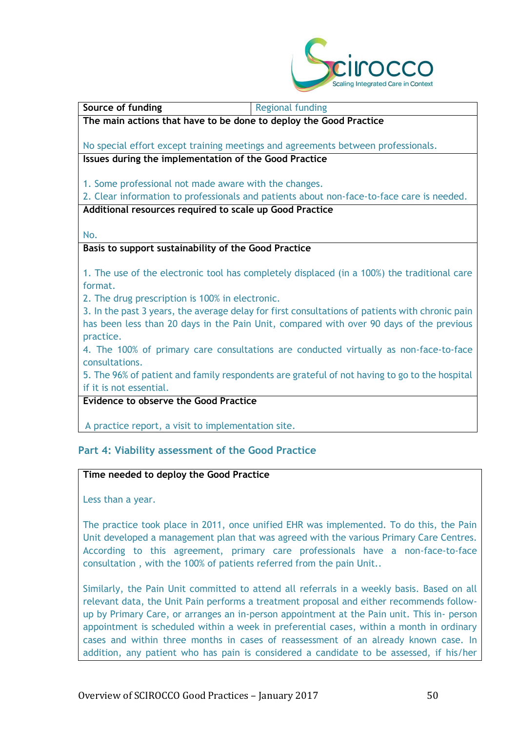

# **The main actions that have to be done to deploy the Good Practice** No special effort except training meetings and agreements between professionals. **Issues during the implementation of the Good Practice** 1. Some professional not made aware with the changes. 2. Clear information to professionals and patients about non-face-to-face care is needed. **Additional resources required to scale up Good Practice**

No.

#### **Basis to support sustainability of the Good Practice**

**Source of funding** <br>Regional funding

1. The use of the electronic tool has completely displaced (in a 100%) the traditional care format.

2. The drug prescription is 100% in electronic.

3. In the past 3 years, the average delay for first consultations of patients with chronic pain has been less than 20 days in the Pain Unit, compared with over 90 days of the previous practice.

4. The 100% of primary care consultations are conducted virtually as non-face-to-face consultations.

5. The 96% of patient and family respondents are grateful of not having to go to the hospital if it is not essential.

**Evidence to observe the Good Practice**

A practice report, a visit to implementation site.

## **Part 4: Viability assessment of the Good Practice**

#### **Time needed to deploy the Good Practice**

Less than a year.

The practice took place in 2011, once unified EHR was implemented. To do this, the Pain Unit developed a management plan that was agreed with the various Primary Care Centres. According to this agreement, primary care professionals have a non-face-to-face consultation , with the 100% of patients referred from the pain Unit..

Similarly, the Pain Unit committed to attend all referrals in a weekly basis. Based on all relevant data, the Unit Pain performs a treatment proposal and either recommends followup by Primary Care, or arranges an in-person appointment at the Pain unit. This in- person appointment is scheduled within a week in preferential cases, within a month in ordinary cases and within three months in cases of reassessment of an already known case. In addition, any patient who has pain is considered a candidate to be assessed, if his/her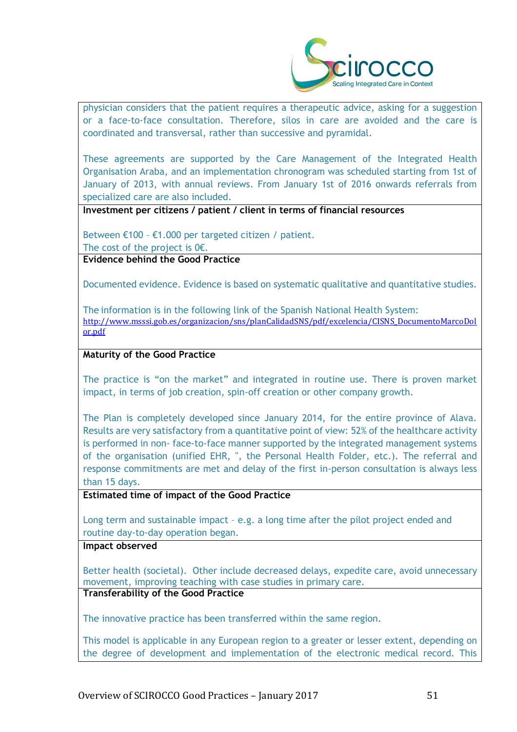

physician considers that the patient requires a therapeutic advice, asking for a suggestion or a face-to-face consultation. Therefore, silos in care are avoided and the care is coordinated and transversal, rather than successive and pyramidal.

These agreements are supported by the Care Management of the Integrated Health Organisation Araba, and an implementation chronogram was scheduled starting from 1st of January of 2013, with annual reviews. From January 1st of 2016 onwards referrals from specialized care are also included.

**Investment per citizens / patient / client in terms of financial resources**

Between €100 – €1.000 per targeted citizen / patient. The cost of the project is  $0 \in$ .

**Evidence behind the Good Practice**

Documented evidence. Evidence is based on systematic qualitative and quantitative studies.

The information is in the following link of the Spanish National Health System: [http://www.msssi.gob.es/organizacion/sns/planCalidadSNS/pdf/excelencia/CISNS\\_DocumentoMarcoDol](http://www.msssi.gob.es/organizacion/sns/planCalidadSNS/pdf/excelencia/CISNS_DocumentoMarcoDol%20or.pdf)  [or.pdf](http://www.msssi.gob.es/organizacion/sns/planCalidadSNS/pdf/excelencia/CISNS_DocumentoMarcoDol%20or.pdf)

#### **Maturity of the Good Practice**

The practice is "on the market" and integrated in routine use. There is proven market impact, in terms of job creation, spin-off creation or other company growth.

The Plan is completely developed since January 2014, for the entire province of Alava. Results are very satisfactory from a quantitative point of view: 52% of the healthcare activity is performed in non- face-to-face manner supported by the integrated management systems of the organisation (unified EHR, ", the Personal Health Folder, etc.). The referral and response commitments are met and delay of the first in-person consultation is always less than 15 days.

**Estimated time of impact of the Good Practice**

Long term and sustainable impact – e.g. a long time after the pilot project ended and routine day-to-day operation began.

#### **Impact observed**

Better health (societal). Other include decreased delays, expedite care, avoid unnecessary movement, improving teaching with case studies in primary care.

#### **Transferability of the Good Practice**

The innovative practice has been transferred within the same region.

This model is applicable in any European region to a greater or lesser extent, depending on the degree of development and implementation of the electronic medical record. This